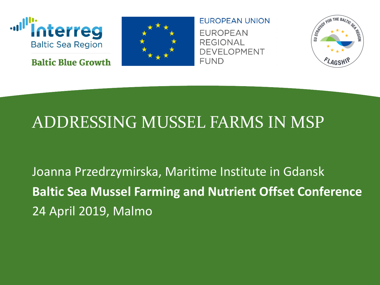

**Baltic Blue Growth** 



**EUROPEAN UNION EUROPEAN REGIONAL DEVELOPMENT FUND** 



#### ADDRESSING MUSSEL FARMS IN MSP

Joanna Przedrzymirska, Maritime Institute in Gdansk **Baltic Sea Mussel Farming and Nutrient Offset Conference**  24 April 2019, Malmo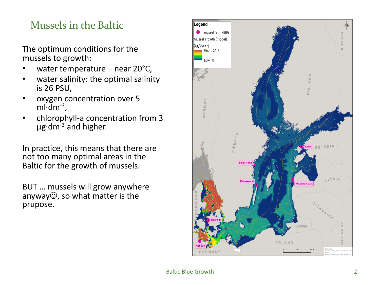#### Mussels in the Baltic

The optimum conditions for the mussels to growth:

- water temperature near  $20^{\circ}$ C,
- water salinity: the optimal salinity is 26 PSU,
- oxygen concentration over 5  $m\cdot dm^{-3}$ .
- chlorophyll-a concentration from 3  $\mu$ g·dm<sup>-3</sup> and higher.

In practice, this means that there are not too many optimal areas in the Baltic for the growth of mussels.

BUT … mussels will grow anywhere anyway $\mathbb{G}$ , so what matter is the prupose.

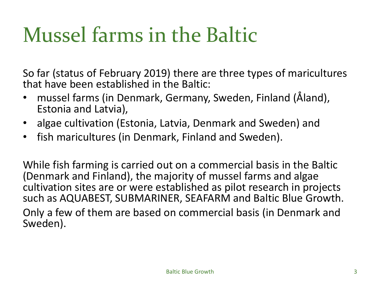#### Mussel farms in the Baltic

So far (status of February 2019) there are three types of maricultures that have been established in the Baltic:

- mussel farms (in Denmark, Germany, Sweden, Finland (Åland), Estonia and Latvia),
- algae cultivation (Estonia, Latvia, Denmark and Sweden) and
- fish maricultures (in Denmark, Finland and Sweden).

While fish farming is carried out on a commercial basis in the Baltic (Denmark and Finland), the majority of mussel farms and algae cultivation sites are or were established as pilot research in projects such as AQUABEST, SUBMARINER, SEAFARM and Baltic Blue Growth. Only a few of them are based on commercial basis (in Denmark and Sweden).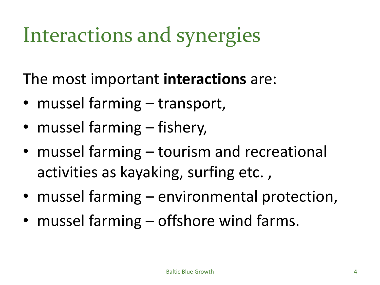# Interactions and synergies

The most important **interactions** are:

- mussel farming transport,
- mussel farming fishery,
- mussel farming tourism and recreational activities as kayaking, surfing etc. ,
- mussel farming environmental protection,
- mussel farming offshore wind farms.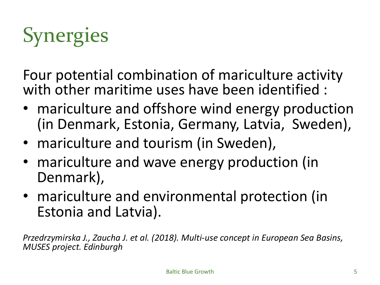

Four potential combination of mariculture activity with other maritime uses have been identified :

- mariculture and offshore wind energy production (in Denmark, Estonia, Germany, Latvia, Sweden),
- mariculture and tourism (in Sweden),
- mariculture and wave energy production (in Denmark),
- mariculture and environmental protection (in Estonia and Latvia).

*Przedrzymirska J., Zaucha J. et al. (2018). Multi-use concept in European Sea Basins, MUSES project. Edinburgh*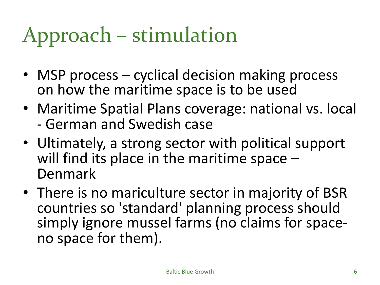# Approach – stimulation

- MSP process cyclical decision making process on how the maritime space is to be used
- Maritime Spatial Plans coverage: national vs. local - German and Swedish case
- Ultimately, a strong sector with political support will find its place in the maritime space –<br>Denmark
- There is no mariculture sector in majority of BSR countries so 'standard' planning process should simply ignore mussel farms (no claims for space-<br>no space for them).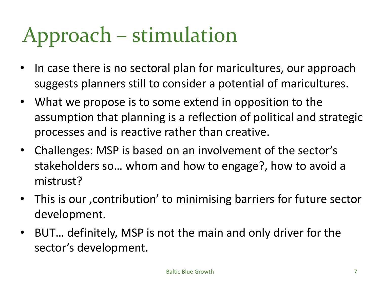# Approach – stimulation

- In case there is no sectoral plan for maricultures, our approach suggests planners still to consider a potential of maricultures.
- What we propose is to some extend in opposition to the assumption that planning is a reflection of political and strategic processes and is reactive rather than creative.
- Challenges: MSP is based on an involvement of the sector's stakeholders so… whom and how to engage?, how to avoid a mistrust?
- This is our, contribution' to minimising barriers for future sector development.
- BUT… definitely, MSP is not the main and only driver for the sector's development.